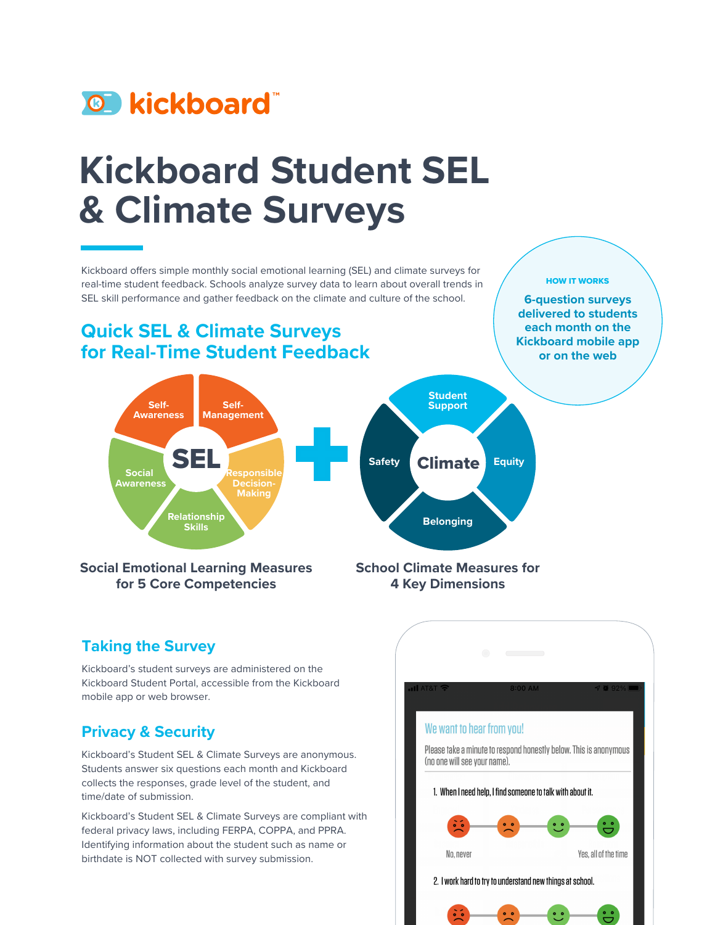

# **Kickboard Student SEL & Climate Surveys**

Kickboard offers simple monthly social emotional learning (SEL) and climate surveys for real-time student feedback. Schools analyze survey data to learn about overall trends in SEL skill performance and gather feedback on the climate and culture of the school.

## **Quick SEL & Climate Surveys for Real-Time Student Feedback**

#### HOW IT WORKS

**6-question surveys delivered to students each month on the Kickboard mobile app or on the web**



**4 Key Dimensions**

#### **Taking the Survey**

Kickboard's student surveys are administered on the Kickboard Student Portal, accessible from the Kickboard mobile app or web browser.

### **Privacy & Security**

Kickboard's Student SEL & Climate Surveys are anonymous. Students answer six questions each month and Kickboard collects the responses, grade level of the student, and time/date of submission.

Kickboard's Student SEL & Climate Surveys are compliant with federal privacy laws, including FERPA, COPPA, and PPRA. Identifying information about the student such as name or birthdate is NOT collected with survey submission.